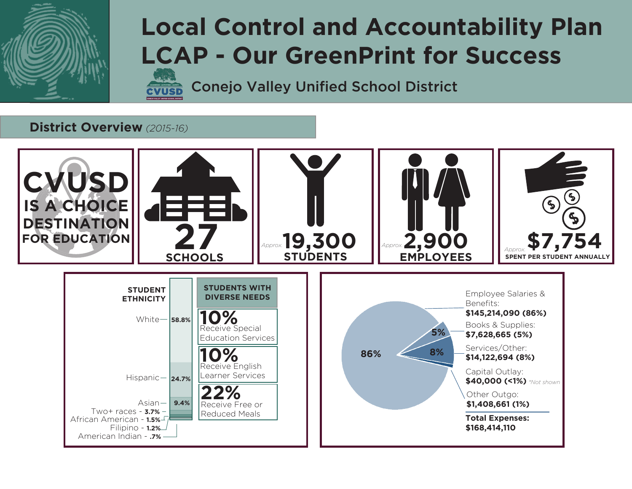

# **Local Control and Accountability Plan LCAP - Our GreenPrint for Success**

Conejo Valley Unified School District

### **District Overview** *(2015-16)*

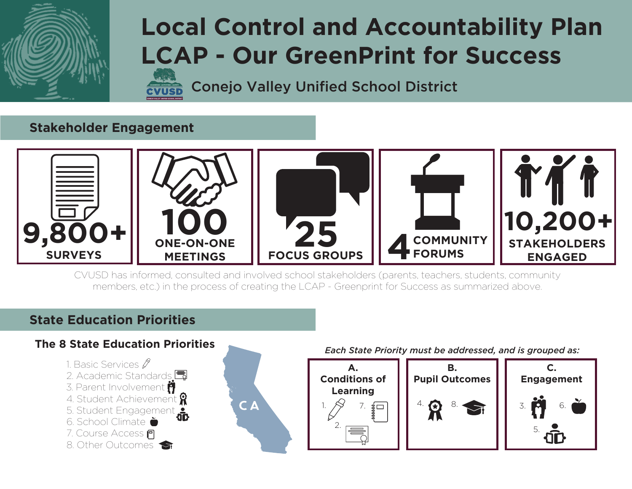

# **Local Control and Accountability Plan LCAP - Our GreenPrint for Success**

Conejo Valley Unified School District

### **Stakeholder Engagement**



CVUSD has informed, consulted and involved school stakeholders (parents, teachers, students, community members, etc.) in the process of creating the LCAP - Greenprint for Success as summarized above.

### **State Education Priorities**

### **The 8 State Education Priorities**

- 1. Basic Services  $\cancel{\mathscr{E}}$
- 2. Academic Standards **围**
- 3. Parent Involvement
- 4. Student Achievement
- 5. Student Engagement
- 6. School Climate
- 7. Course Access
- 8. Other Outcomes



#### *Each State Priority must be addressed, and is grouped as:*

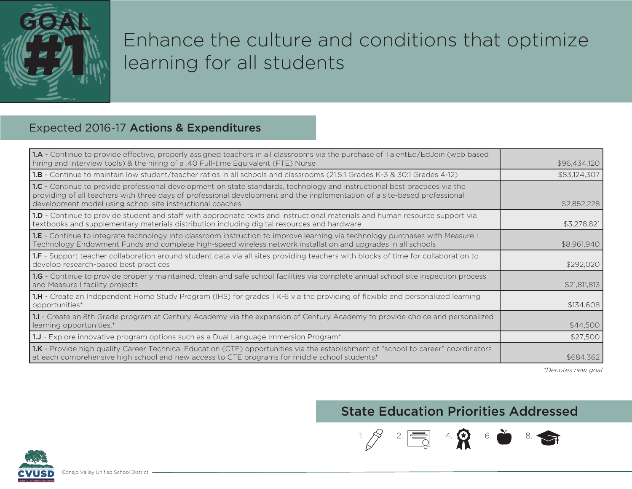

# Enhance the culture and conditions that optimize learning for all students

### Expected 2016-17 Actions & Expenditures

| <b>1.A</b> - Continue to provide effective, properly assigned teachers in all classrooms via the purchase of TalentEd/EdJoin (web based<br>hiring and interview tools) & the hiring of a .40 Full-time Equivalent (FTE) Nurse                                                                                        | \$96,434,120 |
|----------------------------------------------------------------------------------------------------------------------------------------------------------------------------------------------------------------------------------------------------------------------------------------------------------------------|--------------|
| <b>1.B</b> - Continue to maintain low student/teacher ratios in all schools and classrooms (21.5:1 Grades K-3 & 30:1 Grades 4-12)                                                                                                                                                                                    | \$83,124,307 |
| 1.C - Continue to provide professional development on state standards, technology and instructional best practices via the<br>providing of all teachers with three days of professional development and the implementation of a site-based professional<br>development model using school site instructional coaches | \$2,852,228  |
| 1.D - Continue to provide student and staff with appropriate texts and instructional materials and human resource support via<br>textbooks and supplementary materials distribution including digital resources and hardware                                                                                         | \$3,278,821  |
| <b>1.E</b> - Continue to integrate technology into classroom instruction to improve learning via technology purchases with Measure I<br>Technology Endowment Funds and complete high-speed wireless network installation and upgrades in all schools                                                                 | \$8,961,940  |
| <b>1.F</b> - Support teacher collaboration around student data via all sites providing teachers with blocks of time for collaboration to<br>develop research-based best practices                                                                                                                                    | \$292,020    |
| 1.G - Continue to provide properly maintained, clean and safe school facilities via complete annual school site inspection process<br>and Measure I facility projects                                                                                                                                                | \$21.811.813 |
| <b>1.H</b> - Create an Independent Home Study Program (IHS) for grades TK-6 via the providing of flexible and personalized learning<br>opportunities*                                                                                                                                                                | \$134,608    |
| 1.I - Create an 8th Grade program at Century Academy via the expansion of Century Academy to provide choice and personalized<br>learning opportunities.*                                                                                                                                                             | \$44,500     |
| 1.J - Explore innovative program options such as a Dual Language Immersion Program*                                                                                                                                                                                                                                  | \$27,500     |
| 1.K - Provide high quality Career Technical Education (CTE) opportunities via the establishment of "school to career" coordinators<br>at each comprehensive high school and new access to CTE programs for middle school students*                                                                                   | \$684,362    |

*\*Denotes new goal*

 $\blacktriangleright$ 

### State Education Priorities Addressed

 $1. \frac{1}{2}$   $2. \frac{1}{2}$   $4. \frac{1}{2}$  6.

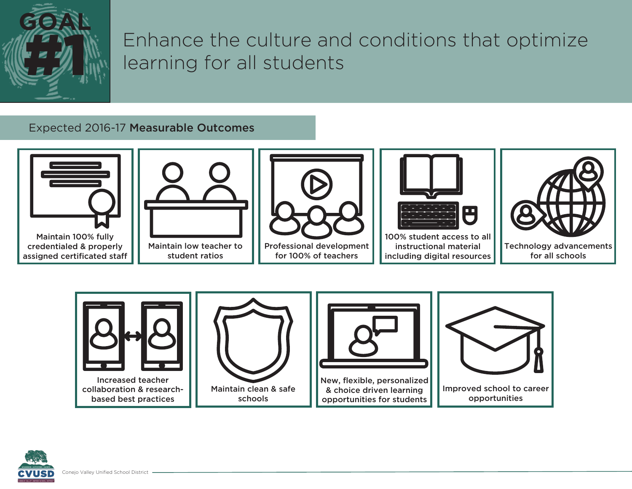

# Enhance the culture and conditions that optimize learning for all students

#### Expected 2016-17 Measurable Outcomes





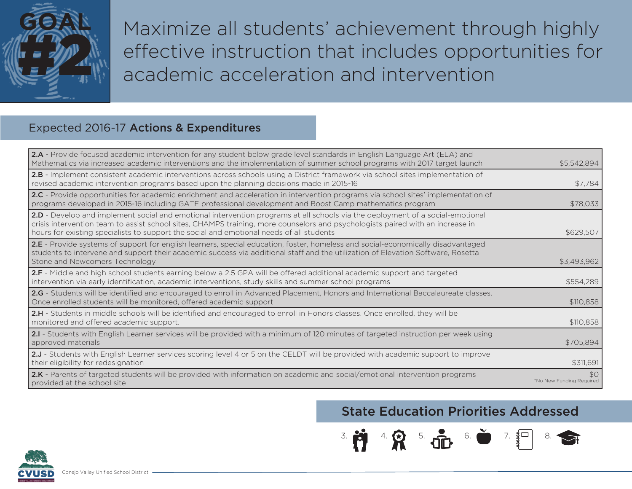

Maximize all students' achievement through highly effective instruction that includes opportunities for academic acceleration and intervention

### Expected 2016-17 Actions & Expenditures

| <b>2.A</b> - Provide focused academic intervention for any student below grade level standards in English Language Art (ELA) and<br>Mathematics via increased academic interventions and the implementation of summer school programs with 2017 target launch                                                                                                | \$5,542,894                    |
|--------------------------------------------------------------------------------------------------------------------------------------------------------------------------------------------------------------------------------------------------------------------------------------------------------------------------------------------------------------|--------------------------------|
| 2.B - Implement consistent academic interventions across schools using a District framework via school sites implementation of<br>revised academic intervention programs based upon the planning decisions made in 2015-16                                                                                                                                   | \$7,784                        |
| 2.C - Provide opportunities for academic enrichment and acceleration in intervention programs via school sites' implementation of<br>programs developed in 2015-16 including GATE professional development and Boost Camp mathematics program                                                                                                                | \$78,033                       |
| 2.D - Develop and implement social and emotional intervention programs at all schools via the deployment of a social-emotional<br>crisis intervention team to assist school sites, CHAMPS training, more counselors and psychologists paired with an increase in<br>hours for existing specialists to support the social and emotional needs of all students | \$629.507                      |
| 2.E - Provide systems of support for english learners, special education, foster, homeless and social-economically disadvantaged<br>students to intervene and support their academic success via additional staff and the utilization of Elevation Software, Rosetta<br>Stone and Newcomers Technology                                                       | \$3,493,962                    |
| 2.F - Middle and high school students earning below a 2.5 GPA will be offered additional academic support and targeted<br>intervention via early identification, academic interventions, study skills and summer school programs                                                                                                                             | \$554,289                      |
| 2.G - Students will be identified and encouraged to enroll in Advanced Placement, Honors and International Baccalaureate classes.<br>Once enrolled students will be monitored, offered academic support                                                                                                                                                      | \$110,858                      |
| 2.H - Students in middle schools will be identified and encouraged to enroll in Honors classes. Once enrolled, they will be<br>monitored and offered academic support.                                                                                                                                                                                       | \$110,858                      |
| 2.I - Students with English Learner services will be provided with a minimum of 120 minutes of targeted instruction per week using<br>approved materials                                                                                                                                                                                                     | \$705,894                      |
| 2.J - Students with English Learner services scoring level 4 or 5 on the CELDT will be provided with academic support to improve<br>their eligibility for redesignation                                                                                                                                                                                      | \$311,691                      |
| 2.K - Parents of targeted students will be provided with information on academic and social/emotional intervention programs<br>provided at the school site                                                                                                                                                                                                   | SO<br>*No New Funding Required |

## State Education Priorities Addressed

 $3.11$   $4.0$   $5.01$   $6.0$   $7.8$ 

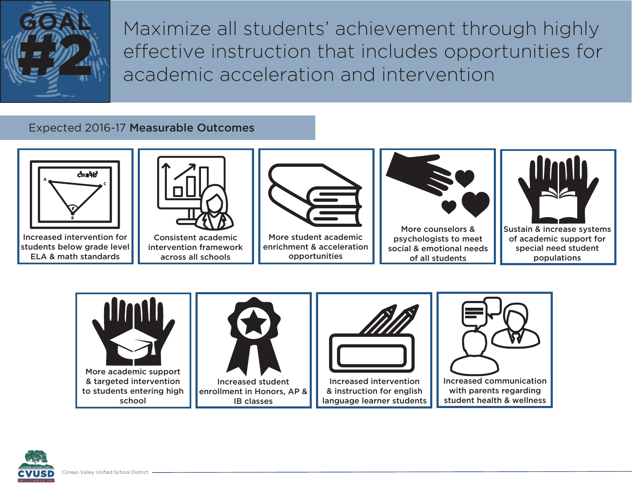

Maximize all students' achievement through highly effective instruction that includes opportunities for academic acceleration and intervention

#### Expected 2016-17 Measurable Outcomes





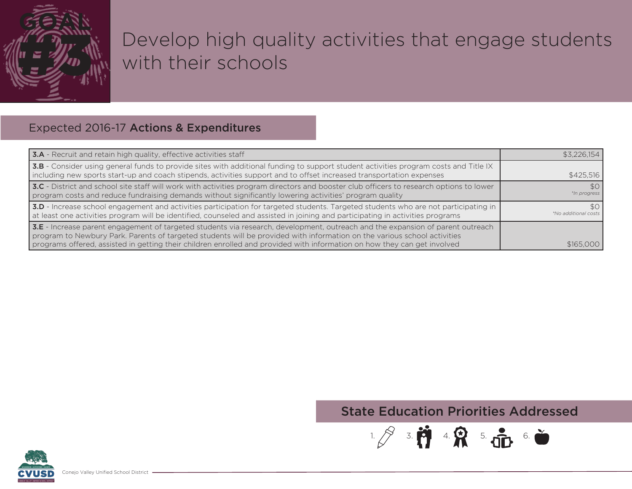

# Develop high quality activities that engage students with their schools

### Expected 2016-17 Actions & Expenditures

| 3.A - Recruit and retain high quality, effective activities staff                                                                                                                                                                                                                                                                                                                      | \$3.226.154                                    |
|----------------------------------------------------------------------------------------------------------------------------------------------------------------------------------------------------------------------------------------------------------------------------------------------------------------------------------------------------------------------------------------|------------------------------------------------|
| 3.B - Consider using general funds to provide sites with additional funding to support student activities program costs and Title IX<br>including new sports start-up and coach stipends, activities support and to offset increased transportation expenses                                                                                                                           | \$425.516                                      |
| 3.C - District and school site staff will work with activities program directors and booster club officers to research options to lower<br>program costs and reduce fundraising demands without significantly lowering activities' program quality                                                                                                                                     | SO <sub>1</sub><br>*In progress                |
| 3.D - Increase school engagement and activities participation for targeted students. Targeted students who are not participating in<br>at least one activities program will be identified, counseled and assisted in joining and participating in activities programs                                                                                                                  | SO <sub>1</sub><br><i>*No additional costs</i> |
| 3.E - Increase parent engagement of targeted students via research, development, outreach and the expansion of parent outreach<br>program to Newbury Park. Parents of targeted students will be provided with information on the various school activities<br>programs offered, assisted in getting their children enrolled and provided with information on how they can get involved | \$165,000                                      |

## State Education Priorities Addressed

 $1.83.11$   $4.83.5.11$   $6.0$